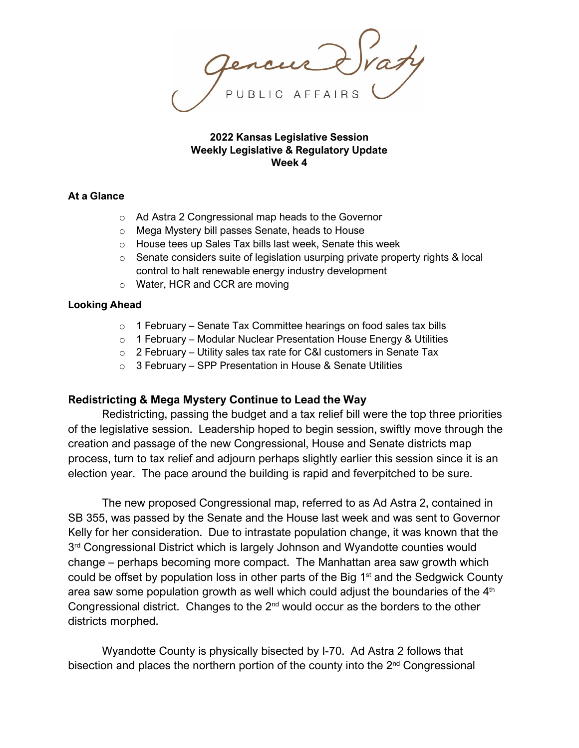**2022 Kansas Legislative Session Weekly Legislative & Regulatory Update Week 4**

# **At a Glance**

- o Ad Astra 2 Congressional map heads to the Governor
- o Mega Mystery bill passes Senate, heads to House
- o House tees up Sales Tax bills last week, Senate this week
- $\circ$  Senate considers suite of legislation usurping private property rights & local control to halt renewable energy industry development
- o Water, HCR and CCR are moving

### **Looking Ahead**

- o 1 February Senate Tax Committee hearings on food sales tax bills
- $\circ$  1 February Modular Nuclear Presentation House Energy & Utilities
- o 2 February Utility sales tax rate for C&I customers in Senate Tax
- o 3 February SPP Presentation in House & Senate Utilities

# **Redistricting & Mega Mystery Continue to Lead the Way**

Redistricting, passing the budget and a tax relief bill were the top three priorities of the legislative session. Leadership hoped to begin session, swiftly move through the creation and passage of the new Congressional, House and Senate districts map process, turn to tax relief and adjourn perhaps slightly earlier this session since it is an election year. The pace around the building is rapid and feverpitched to be sure.

The new proposed Congressional map, referred to as Ad Astra 2, contained in SB 355, was passed by the Senate and the House last week and was sent to Governor Kelly for her consideration. Due to intrastate population change, it was known that the 3<sup>rd</sup> Congressional District which is largely Johnson and Wyandotte counties would change – perhaps becoming more compact. The Manhattan area saw growth which could be offset by population loss in other parts of the Big 1<sup>st</sup> and the Sedgwick County area saw some population growth as well which could adjust the boundaries of the  $4<sup>th</sup>$ Congressional district. Changes to the  $2<sup>nd</sup>$  would occur as the borders to the other districts morphed.

Wyandotte County is physically bisected by I-70. Ad Astra 2 follows that bisection and places the northern portion of the county into the  $2<sup>nd</sup>$  Congressional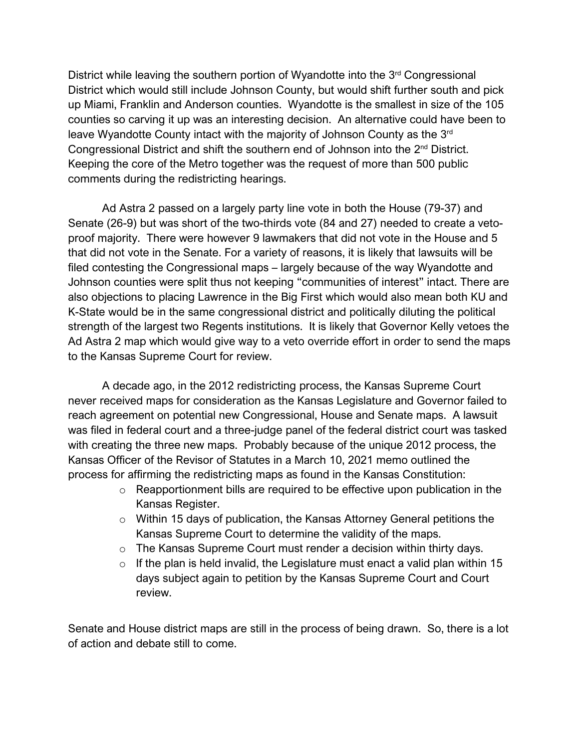District while leaving the southern portion of Wyandotte into the  $3<sup>rd</sup>$  Congressional District which would still include Johnson County, but would shift further south and pick up Miami, Franklin and Anderson counties. Wyandotte is the smallest in size of the 105 counties so carving it up was an interesting decision. An alternative could have been to leave Wyandotte County intact with the majority of Johnson County as the 3rd Congressional District and shift the southern end of Johnson into the 2nd District. Keeping the core of the Metro together was the request of more than 500 public comments during the redistricting hearings.

Ad Astra 2 passed on a largely party line vote in both the House (79-37) and Senate (26-9) but was short of the two-thirds vote (84 and 27) needed to create a vetoproof majority. There were however 9 lawmakers that did not vote in the House and 5 that did not vote in the Senate. For a variety of reasons, it is likely that lawsuits will be filed contesting the Congressional maps – largely because of the way Wyandotte and Johnson counties were split thus not keeping "communities of interest" intact. There are also objections to placing Lawrence in the Big First which would also mean both KU and K-State would be in the same congressional district and politically diluting the political strength of the largest two Regents institutions. It is likely that Governor Kelly vetoes the Ad Astra 2 map which would give way to a veto override effort in order to send the maps to the Kansas Supreme Court for review.

A decade ago, in the 2012 redistricting process, the Kansas Supreme Court never received maps for consideration as the Kansas Legislature and Governor failed to reach agreement on potential new Congressional, House and Senate maps. A lawsuit was filed in federal court and a three-judge panel of the federal district court was tasked with creating the three new maps. Probably because of the unique 2012 process, the Kansas Officer of the Revisor of Statutes in a March 10, 2021 memo outlined the process for affirming the redistricting maps as found in the Kansas Constitution:

- o Reapportionment bills are required to be effective upon publication in the Kansas Register.
- o Within 15 days of publication, the Kansas Attorney General petitions the Kansas Supreme Court to determine the validity of the maps.
- o The Kansas Supreme Court must render a decision within thirty days.
- $\circ$  If the plan is held invalid, the Legislature must enact a valid plan within 15 days subject again to petition by the Kansas Supreme Court and Court review.

Senate and House district maps are still in the process of being drawn. So, there is a lot of action and debate still to come.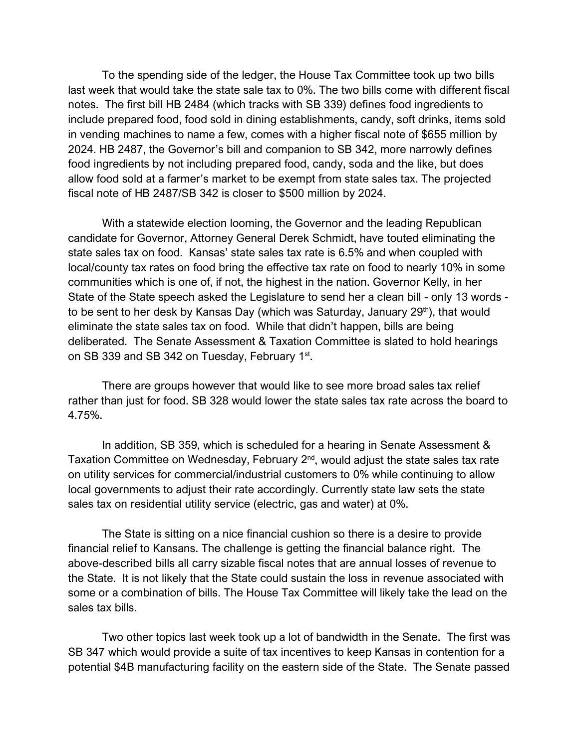To the spending side of the ledger, the House Tax Committee took up two bills last week that would take the state sale tax to 0%. The two bills come with different fiscal notes. The first bill HB 2484 (which tracks with SB 339) defines food ingredients to include prepared food, food sold in dining establishments, candy, soft drinks, items sold in vending machines to name a few, comes with a higher fiscal note of \$655 million by 2024. HB 2487, the Governor's bill and companion to SB 342, more narrowly defines food ingredients by not including prepared food, candy, soda and the like, but does allow food sold at a farmer's market to be exempt from state sales tax. The projected fiscal note of HB 2487/SB 342 is closer to \$500 million by 2024.

With a statewide election looming, the Governor and the leading Republican candidate for Governor, Attorney General Derek Schmidt, have touted eliminating the state sales tax on food. Kansas' state sales tax rate is 6.5% and when coupled with local/county tax rates on food bring the effective tax rate on food to nearly 10% in some communities which is one of, if not, the highest in the nation. Governor Kelly, in her State of the State speech asked the Legislature to send her a clean bill - only 13 words to be sent to her desk by Kansas Day (which was Saturday, January 29<sup>th</sup>), that would eliminate the state sales tax on food. While that didn't happen, bills are being deliberated. The Senate Assessment & Taxation Committee is slated to hold hearings on SB 339 and SB 342 on Tuesday, February 1st.

There are groups however that would like to see more broad sales tax relief rather than just for food. SB 328 would lower the state sales tax rate across the board to 4.75%.

In addition, SB 359, which is scheduled for a hearing in Senate Assessment & Taxation Committee on Wednesday, February  $2<sup>nd</sup>$ , would adjust the state sales tax rate on utility services for commercial/industrial customers to 0% while continuing to allow local governments to adjust their rate accordingly. Currently state law sets the state sales tax on residential utility service (electric, gas and water) at 0%.

The State is sitting on a nice financial cushion so there is a desire to provide financial relief to Kansans. The challenge is getting the financial balance right. The above-described bills all carry sizable fiscal notes that are annual losses of revenue to the State. It is not likely that the State could sustain the loss in revenue associated with some or a combination of bills. The House Tax Committee will likely take the lead on the sales tax bills.

Two other topics last week took up a lot of bandwidth in the Senate. The first was SB 347 which would provide a suite of tax incentives to keep Kansas in contention for a potential \$4B manufacturing facility on the eastern side of the State. The Senate passed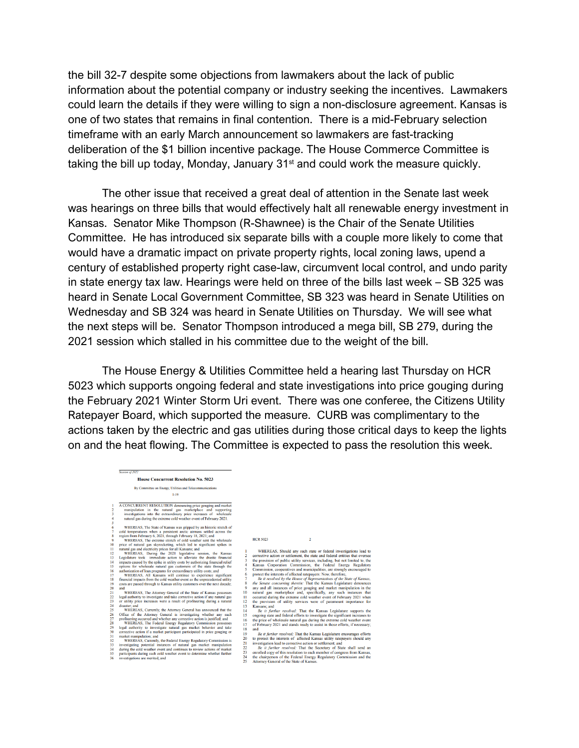the bill 32-7 despite some objections from lawmakers about the lack of public information about the potential company or industry seeking the incentives. Lawmakers could learn the details if they were willing to sign a non-disclosure agreement. Kansas is one of two states that remains in final contention. There is a mid-February selection timeframe with an early March announcement so lawmakers are fast-tracking deliberation of the \$1 billion incentive package. The House Commerce Committee is taking the bill up today, Monday, January 31<sup>st</sup> and could work the measure quickly.

The other issue that received a great deal of attention in the Senate last week was hearings on three bills that would effectively halt all renewable energy investment in Kansas. Senator Mike Thompson (R-Shawnee) is the Chair of the Senate Utilities Committee. He has introduced six separate bills with a couple more likely to come that would have a dramatic impact on private property rights, local zoning laws, upend a century of established property right case-law, circumvent local control, and undo parity in state energy tax law. Hearings were held on three of the bills last week – SB 325 was heard in Senate Local Government Committee, SB 323 was heard in Senate Utilities on Wednesday and SB 324 was heard in Senate Utilities on Thursday. We will see what the next steps will be. Senator Thompson introduced a mega bill, SB 279, during the 2021 session which stalled in his committee due to the weight of the bill.

The House Energy & Utilities Committee held a hearing last Thursday on HCR 5023 which supports ongoing federal and state investigations into price gouging during the February 2021 Winter Storm Uri event. There was one conferee, the Citizens Utility Ratepayer Board, which supported the measure. CURB was complimentary to the actions taken by the electric and gas utilities during those critical days to keep the lights on and the heat flowing. The Committee is expected to pass the resolution this week.

### **House Concurrent Resolution No. 5023** By Committee on Energy, Utilities and Telecommunications  $1-19$

 $rac{1}{2}$ 

 $\,$  A CONCURRENT RESOLUTION denouncing price gouging and marked manipulation in the natural gass marked<br>pace in constraints investigations into the catractionary price increases of wholes<br>ale natural gas during the extra

3 investigations into the extractionary prior interacts of whole<br>sale and matural gas during the extreme cold weather event of February 2021.<br>
6 WHEREAS, The State of Kansas was gripped by an historic stretch of<br>
7 celo t

 $\overline{2}$ 

1 WHEREAS, Should any such state or federal investigations lead to corrective action or settlement, the state and federal entities that oversee than a state of public utility services, including, but not limited to, the S

and

and  $Be$  it further resolved: That the Kansas Legislature encourages efforts to protect the interests of a fifceted Kansas utility rate<br>payers should any towistigation lead to corrective action or settlement; and<br> $Be$  it fu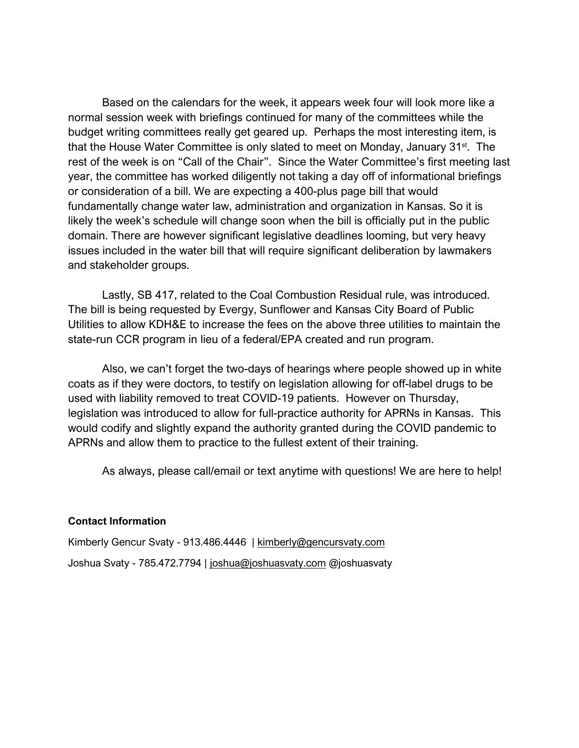Based on the calendars for the week, it appears week four will look more like a normal session week with briefings continued for many of the committees while the budget writing committees really get geared up. Perhaps the most interesting item, is that the House Water Committee is only slated to meet on Monday, January 31st. The rest of the week is on "Call of the Chair". Since the Water Committee's first meeting last year, the committee has worked diligently not taking a day off of informational briefings or consideration of a bill. We are expecting a 400-plus page bill that would fundamentally change water law, administration and organization in Kansas. So it is likely the week's schedule will change soon when the bill is officially put in the public domain. There are however significant legislative deadlines looming, but very heavy issues included in the water bill that will require significant deliberation by lawmakers and stakeholder groups.

Lastly, SB 417, related to the Coal Combustion Residual rule, was introduced. The bill is being requested by Evergy, Sunflower and Kansas City Board of Public Utilities to allow KDH&E to increase the fees on the above three utilities to maintain the state-run CCR program in lieu of a federal/EPA created and run program.

Also, we can't forget the two-days of hearings where people showed up in white coats as if they were doctors, to testify on legislation allowing for off-label drugs to be used with liability removed to treat COVID-19 patients. However on Thursday, legislation was introduced to allow for full-practice authority for APRNs in Kansas. This would codify and slightly expand the authority granted during the COVID pandemic to APRNs and allow them to practice to the fullest extent of their training.

As always, please call/email or text anytime with questions! We are here to help!

# **Contact Information**

Kimberly Gencur Svaty - 913.486.4446 | [kimberly@gencursvaty.com](mailto:kimberly@gencursvaty.com) Joshua Svaty - 785.472.7794 | [joshua@joshuasvaty.com](mailto:joshua@joshuasvaty.com) @joshuasvaty